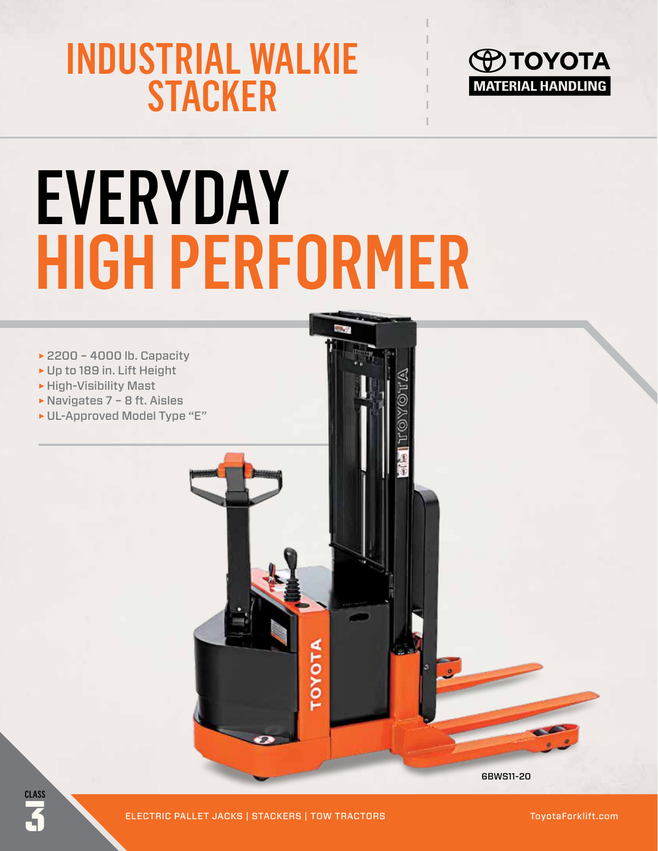## INDUSTRIAL WALKIE **STACKER**



# **EVERYDAY** HIGH PERFORMER



3 ELECTRIC PALLET JACKS | STACKERS | TOW TRACTORS ToyotaForklift.com

**CLASS**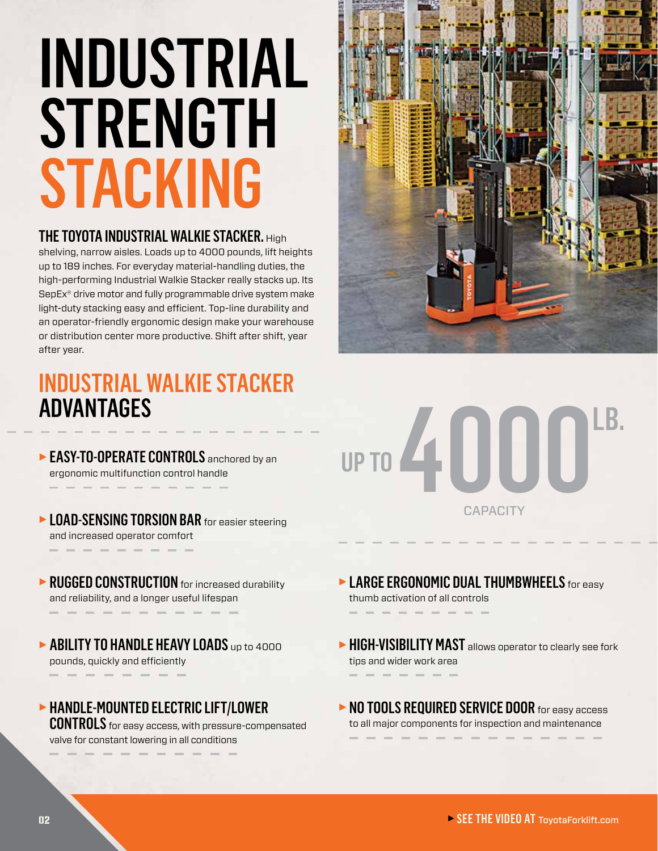# INDUSTRIAL **STRENGTH STACKING**

#### THE TOYOTA INDUSTRIAL WALKIE STACKER. High

shelving, narrow aisles. Loads up to 4000 pounds, lift heights up to 189 inches. For everyday material-handling duties, the high-performing Industrial Walkie Stacker really stacks up. Its SepEx® drive motor and fully programmable drive system make light-duty stacking easy and efficient. Top-line durability and an operator-friendly ergonomic design make your warehouse or distribution center more productive. Shift after shift, year after year.

### INDUSTRIAL WALKIE STACKER ADVANTAGES

- ► EASY-TO-OPERATE CONTROLS anchored by an ergonomic multifunction control handle
- ► LOAD-SENSING TORSION BAR for easier steering and increased operator comfort
- ► RUGGED CONSTRUCTION for increased durability and reliability, and a longer useful lifespan
- ► ABILITY TO HANDLE HEAVY LOADS up to 4000 pounds, quickly and efficiently
- ► HANDLE-MOUNTED ELECTRIC LIFT/LOWER

**CONTROLS** for easy access, with pressure-compensated valve for constant lowering in all conditions



### 4111111 **CAPACITY** LB. UP TO

- ► LARGE ERGONOMIC DUAL THUMBWHEELS for easy thumb activation of all controls
- ► HIGH-VISIBILITY MAST allows operator to clearly see fork tips and wider work area
- ► NO TOOLS REQUIRED SERVICE DOOR for easy access to all major components for inspection and maintenance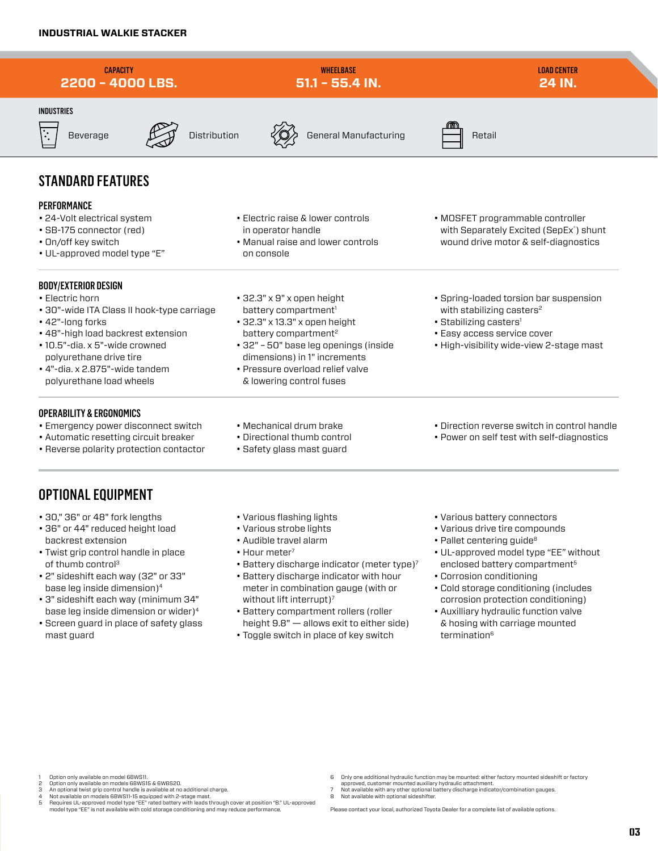

- 1 Option only available on model 6BWS11. 2 Option only available on models 6BWS15 & 6WBS20.
- 
- 3 An optional twist grip control handle is available at no additional charge.<br>4 Not available on models 6BWS11-15 equipped with 2-stage mast.<br>5 Requires UL-approved model type "EE" rated battery with leads through co model type "EE" is not available with cold storage conditioning and may reduce performance.
- 6 Only one additional hydraulic function may be mounted: either factory mounted sideshift or factory approved, customer mounted auxiliary hydraulic attachment.
- 7 Not available with any other optional battery discharge indicator/combination gauges.<br>8 Not available with optional sidesbifter.
- 8 Not available with optional sideshifter.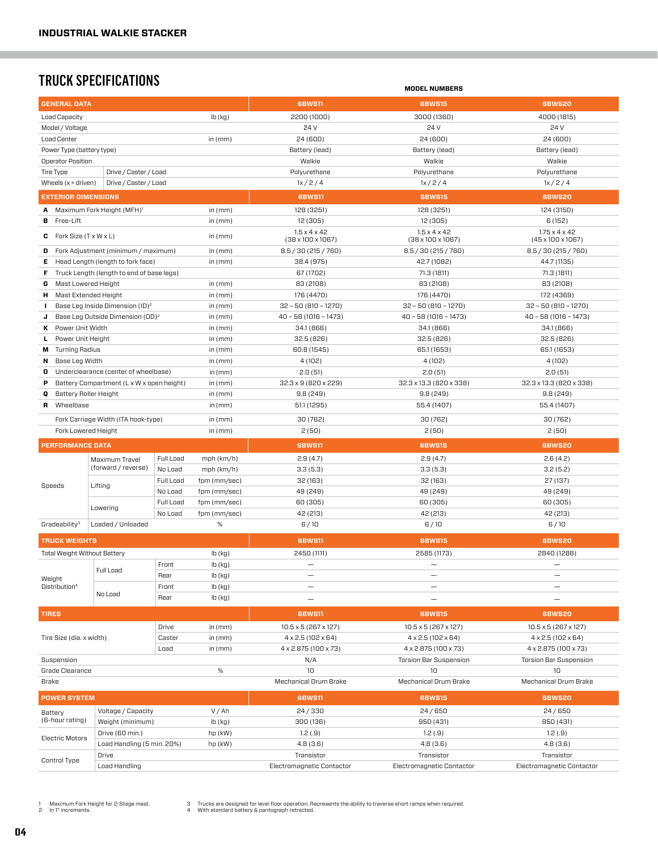#### TRUCK SPECIFICATIONS **MODEL NUMBERS**

| <b>GENERAL DATA</b>                        |                                                 |           |                  | <b>6BWS11</b>                           | <b>6BWS15</b>                                                                                                       | <b>6BWS20</b>                                     |  |  |
|--------------------------------------------|-------------------------------------------------|-----------|------------------|-----------------------------------------|---------------------------------------------------------------------------------------------------------------------|---------------------------------------------------|--|--|
| Load Capacity                              |                                                 |           | $lb$ (kg)        | 2200 (1000)                             | 4000 (1815)                                                                                                         |                                                   |  |  |
| Model / Voltage                            |                                                 |           |                  | 24 V                                    | 24 V                                                                                                                | 24 V                                              |  |  |
| <b>Load Center</b>                         |                                                 |           | in $(mm)$        | 24 (600)                                | 24 (600)                                                                                                            | 24 (600)                                          |  |  |
| Power Type (battery type)                  |                                                 |           |                  | Battery (lead)                          | Battery (lead)                                                                                                      | Battery (lead)                                    |  |  |
| Operator Position                          |                                                 |           |                  | Walkie                                  | Walkie                                                                                                              | Walkie                                            |  |  |
| Tire Type                                  | Drive / Caster / Load                           |           |                  | Polyurethane                            | Polyurethane                                                                                                        |                                                   |  |  |
| Wheels $(x =$ driven)                      | Drive / Caster / Load                           |           |                  | 1x/2/4                                  | 1x/2/4                                                                                                              |                                                   |  |  |
| <b>EXTERIOR DIMENSIONS</b>                 |                                                 |           |                  |                                         | <b>6BWS11</b><br><b>6BWS15</b>                                                                                      |                                                   |  |  |
|                                            |                                                 |           |                  |                                         |                                                                                                                     | <b>6BWS20</b>                                     |  |  |
|                                            | <b>A</b> Maximum Fork Height (MFH) <sup>1</sup> |           | in $(mm)$        | 128 (3251)                              | 128 (3251)                                                                                                          | 124 (3150)<br>6(152)                              |  |  |
| <b>B</b> Free-Lift                         |                                                 |           | in $(mm)$        | 12 (305)                                | 12 (305)<br>$1.5 \times 4 \times 42$<br>$1.5 \times 4 \times 42$                                                    |                                                   |  |  |
| <b>C</b> Fork Size $(T \times W \times L)$ |                                                 |           | in $(mm)$        | $(38 \times 100 \times 1067)$           | $1.75 \times 4 \times 42$<br>$(38 \times 100 \times 1067)$<br>$(45 \times 100 \times 1067)$<br>8.5 / 30 (215 / 760) |                                                   |  |  |
|                                            | <b>D</b> Fork Adjustment (minimum / maximum)    |           | in $(mm)$        | 8.5 / 30 (215 / 760)                    | 8.5 / 30 (215 / 760)                                                                                                |                                                   |  |  |
| Е.                                         | Head Length (length to fork face)               |           | in $(mm)$        | 38.4 (975)                              | 44.7 (1135)                                                                                                         |                                                   |  |  |
| F.                                         | Truck Length (length to end of base legs)       |           |                  | 67 (1702)                               | 71.3 (1811)                                                                                                         |                                                   |  |  |
| Mast Lowered Height<br>G                   |                                                 |           | in $(mm)$        | 83 (2108)                               | 83 (2108)                                                                                                           |                                                   |  |  |
| <b>H</b> Mast Extended Height              |                                                 |           | in $(mm)$        | 176 (4470)                              | 172 (4369)                                                                                                          |                                                   |  |  |
| $\mathbf{I}$                               | Base Leg Inside Dimension (ID) <sup>2</sup>     |           | in $(mm)$        | $32 - 50 (810 - 1270)$                  | $32 - 50(810 - 1270)$<br>$32 - 50(810 - 1270)$                                                                      |                                                   |  |  |
| J                                          | Base Leg Outside Dimension (OD) <sup>2</sup>    |           | in $(mm)$        | $40 - 58(1016 - 1473)$                  | $40 - 58(1016 - 1473)$                                                                                              |                                                   |  |  |
| Power Unit Width<br>к                      |                                                 |           | in $(mm)$        | 34.1 (866)                              | 34.1 (866)                                                                                                          | 34.1 (866)                                        |  |  |
| Power Unit Height<br>Ц.                    |                                                 |           | in $(mm)$        | 32.5 (826)                              | 32.5 (826)                                                                                                          | 32.5(826)                                         |  |  |
| M Turning Radius                           |                                                 |           | in (mm)          | 60.8 (1545)                             | 65.1 (1653)                                                                                                         | 65.1 (1653)                                       |  |  |
| Base Leg Width<br>N                        |                                                 |           | in $(mm)$        | 4 (102)                                 | 4 (102)                                                                                                             | 4 (102)                                           |  |  |
| o                                          | Underclearance (center of wheelbase)            |           | in $(mm)$        | 2.0(51)                                 | 2.0(51)                                                                                                             | 2.0(51)                                           |  |  |
| P                                          | Battery Compartment (L x W x open height)       |           | in $(mm)$        | 32.3 x 9 (820 x 229)                    | 32.3 x 13.3 (820 x 338)                                                                                             | 32.3 x 13.3 (820 x 338)                           |  |  |
| <b>Battery Roller Height</b><br>Q          |                                                 |           | in $(mm)$        | 9.8(249)                                | 9.8(249)                                                                                                            | 9.8(249)                                          |  |  |
| <b>R</b> Wheelbase                         |                                                 |           | in $(mm)$        | 51.1 (1295)                             | 55.4 (1407)                                                                                                         | 55.4 (1407)                                       |  |  |
|                                            | Fork Carriage Width (ITA hook-type)             |           | in $(mm)$        | 30 (762)                                | 30 (762)                                                                                                            | 30 (762)                                          |  |  |
| Fork Lowered Height                        |                                                 |           | in $(mm)$        | 2(50)                                   | 2(50)                                                                                                               | 2(50)                                             |  |  |
| <b>PERFORMANCE DATA</b>                    |                                                 |           |                  | <b>6BWS11</b>                           | <b>6BWS15</b>                                                                                                       | <b>6BWS20</b>                                     |  |  |
|                                            |                                                 |           |                  |                                         |                                                                                                                     |                                                   |  |  |
|                                            | Maximum Travel                                  |           |                  |                                         |                                                                                                                     |                                                   |  |  |
|                                            |                                                 | Full Load | $mph$ ( $km/h$ ) | 2.9(4.7)                                | 2.9(4.7)                                                                                                            | 2.6(4.2)                                          |  |  |
|                                            | (forward / reverse)                             | No Load   | $mph$ ( $km/h$ ) | 3.3(5.3)                                | 3.3(5.3)                                                                                                            | 3.2(5.2)                                          |  |  |
| Speeds                                     | Lifting                                         | Full Load | fpm (mm/sec)     | 32 (163)                                | 32 (163)                                                                                                            | 27 (137)                                          |  |  |
|                                            |                                                 | No Load   | fpm (mm/sec)     | 49 (249)                                | 49 (249)                                                                                                            | 49 (249)                                          |  |  |
|                                            | Lowering                                        | Full Load | fpm (mm/sec)     | 60 (305)                                | 60 (305)                                                                                                            | 60 (305)                                          |  |  |
|                                            |                                                 | No Load   | fpm (mm/sec)     | 42 (213)                                | 42 (213)                                                                                                            | 42 (213)                                          |  |  |
| Gradeability <sup>3</sup>                  | Loaded / Unloaded                               |           | $\%$             | 6/10                                    | 6/10                                                                                                                | 6/10                                              |  |  |
| <b>TRUCK WEIGHTS</b>                       |                                                 |           |                  | <b>6BWS11</b>                           | <b>6BWS15</b>                                                                                                       | <b>6BWS20</b>                                     |  |  |
| <b>Total Weight Without Battery</b>        |                                                 |           | lb (kg)          | 2450 (1111)                             | 2585 (1173)                                                                                                         | 2840 (1288)                                       |  |  |
|                                            |                                                 | Front     | lb (kg)          | $\overline{\phantom{0}}$                | $\overline{\phantom{0}}$                                                                                            | $\overline{\phantom{0}}$                          |  |  |
|                                            | Full Load                                       | Rear      | lb (kg)          | -                                       | $\overline{\phantom{0}}$                                                                                            | $\overline{\phantom{0}}$                          |  |  |
| Weight<br>Distribution <sup>4</sup>        |                                                 | Front     | lb (kg)          | $\qquad \qquad -$                       | $\qquad \qquad -$                                                                                                   | $\overline{\phantom{0}}$                          |  |  |
|                                            | No Load                                         | Rear      | lb (kg)          | $\overline{\phantom{0}}$                |                                                                                                                     |                                                   |  |  |
|                                            |                                                 |           |                  |                                         |                                                                                                                     |                                                   |  |  |
| <b>TIRES</b>                               |                                                 |           |                  | <b>6BWS11</b>                           | <b>6BWS15</b>                                                                                                       | <b>6BWS20</b>                                     |  |  |
|                                            |                                                 | Drive     | in $(mm)$        | 10.5 x 5 (267 x 127)                    | 10.5 x 5 (267 x 127)                                                                                                | 10.5 x 5 (267 x 127)                              |  |  |
| Tire Size (dia. x width)                   |                                                 | Caster    | in $(mm)$        | $4 \times 2.5$ (102 $\times$ 64)        | $4 \times 2.5$ (102 $\times$ 64)                                                                                    | 4 x 2.5 (102 x 64)                                |  |  |
|                                            |                                                 | Load      | in $(mm)$        | 4 x 2.875 (100 x 73)                    | 4 x 2.875 (100 x 73)                                                                                                | 4 x 2.875 (100 x 73)                              |  |  |
| Suspension                                 |                                                 |           |                  | N/A                                     | <b>Torsion Bar Suspension</b><br>10 <sup>°</sup>                                                                    | <b>Torsion Bar Suspension</b><br>10 <sup>10</sup> |  |  |
| Grade Clearance<br><b>Brake</b>            |                                                 |           | $\%$             | 10                                      |                                                                                                                     | Mechanical Drum Brake                             |  |  |
|                                            |                                                 |           |                  | Mechanical Drum Brake                   | Mechanical Drum Brake                                                                                               |                                                   |  |  |
| <b>POWER SYSTEM</b>                        |                                                 |           |                  | <b>GBWS11</b>                           | <b>GBWS15</b>                                                                                                       | <b>6BWS20</b>                                     |  |  |
| Battery                                    | Voltage / Capacity                              |           | V/Ah             | 24/330                                  | 24/650                                                                                                              | 24/650                                            |  |  |
| (6-hour rating)                            | Weight (minimum)                                |           | $Ib$ (kg)        | 300 (136)                               | 950 (431)                                                                                                           | 950 (431)                                         |  |  |
| <b>Electric Motors</b>                     | Drive (60 min.)                                 |           | hp (kW)          | 1.2(.9)                                 | 1.2(.9)                                                                                                             | 1.2(.9)                                           |  |  |
|                                            | Load Handling (5 min. 20%)                      |           | hp (kW)          | 4.8(3.6)                                | 4.8(3.6)                                                                                                            | 4.8(3.6)                                          |  |  |
| Control Type                               | Drive<br>Load Handling                          |           |                  | Transistor<br>Electromagnetic Contactor | Transistor<br>Electromagnetic Contactor                                                                             | Transistor<br>Electromagnetic Contactor           |  |  |

1 Maximum Fork Height for 2-Stage mast. 2 In 1" increments.

<sup>3</sup> Trucks are designed for level floor operation. Represents the ability to traverse short ramps when required. 4 With standard battery & pantograph retracted.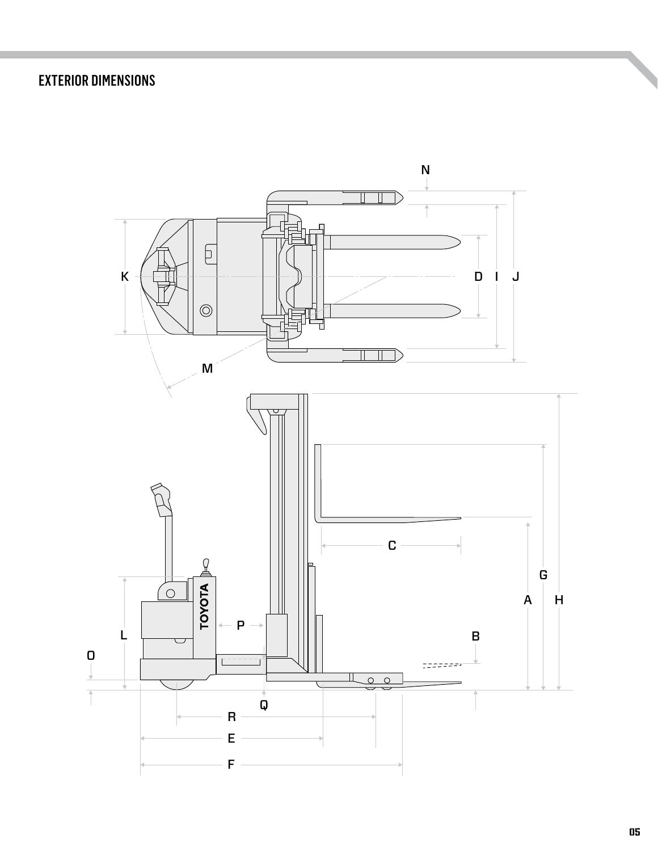#### EXTERIOR DIMENSIONS

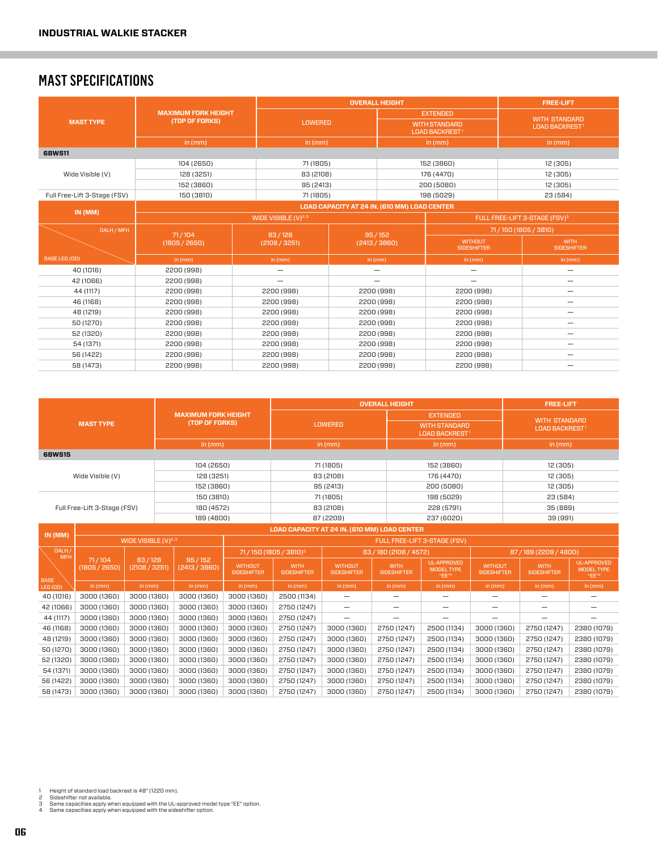#### MAST SPECIFICATIONS

|                              |                            |                          | <b>OVERALL HEIGHT</b>                        | <b>FREE-LIFT</b>              |                                              |                                           |  |  |
|------------------------------|----------------------------|--------------------------|----------------------------------------------|-------------------------------|----------------------------------------------|-------------------------------------------|--|--|
|                              | <b>MAXIMUM FORK HEIGHT</b> |                          |                                              |                               | <b>EXTENDED</b>                              | <b>WITH STANDARD</b>                      |  |  |
| <b>MAST TYPE</b>             | (TOP OF FORKS)             |                          | <b>LOWERED</b>                               |                               | <b>WITH STANDARD</b><br><b>LOAD BACKREST</b> | <b>LOAD BACKREST1</b>                     |  |  |
|                              | in (mm)                    | in (mm)                  |                                              |                               | in (mm)                                      | in (mm)                                   |  |  |
| <b>6BWS11</b>                |                            |                          |                                              |                               |                                              |                                           |  |  |
|                              | 104 (2650)                 | 71 (1805)                |                                              |                               | 152 (3860)                                   | 12 (305)                                  |  |  |
| Wide Visible (V)             | 128 (3251)                 | 83 (2108)                |                                              |                               | 176 (4470)                                   | 12 (305)                                  |  |  |
|                              | 152 (3860)                 | 95 (2413)                |                                              |                               | 200 (5080)                                   | 12 (305)                                  |  |  |
| Full Free-Lift 3-Stage (FSV) | 150 (3810)                 | 71 (1805)                |                                              |                               | 198 (5029)                                   | 23 (584)                                  |  |  |
|                              |                            |                          | LOAD CAPACITY AT 24 IN. (610 MM) LOAD CENTER |                               |                                              |                                           |  |  |
| IN (MM)                      |                            | WIDE VISIBLE $(V)^{2,3}$ |                                              |                               |                                              | FULL FREE-LIFT 3-STAGE (FSV) <sup>3</sup> |  |  |
| <b>OALH / MFH</b>            | 71/104                     | 83/128                   |                                              | 95/152                        | 71/150 (1805 / 3810)                         |                                           |  |  |
|                              | (1805 / 2650)              | (2108 / 3251)            | (2413 / 3860)                                |                               | <b>WITHOUT</b><br><b>SIDESHIFTER</b>         | <b>WITH</b><br><b>SIDESHIFTER</b>         |  |  |
| <b>BASE LEG (OD)</b>         | in (mm)                    | in (mm)                  | in (mm)                                      |                               | in $(mm)$                                    | in $(mm)$                                 |  |  |
| 40 (1016)                    | 2200 (998)                 | $\qquad \qquad -$        |                                              | -<br>$\overline{\phantom{0}}$ |                                              | -                                         |  |  |
| 42 (1066)                    | 2200 (998)                 | $\qquad \qquad -$        |                                              | -                             | -                                            | -                                         |  |  |
| 44 (1117)                    | 2200 (998)                 | 2200 (998)               |                                              | 2200 (998)                    | 2200 (998)                                   |                                           |  |  |
| 46 (1168)                    | 2200 (998)<br>2200 (998)   |                          | 2200 (998)                                   |                               | 2200 (998)                                   | -                                         |  |  |
| 48 (1219)                    | 2200 (998)<br>2200 (998)   |                          | 2200 (998)                                   |                               | 2200 (998)                                   | -                                         |  |  |
| 50 (1270)                    | 2200 (998)                 | 2200 (998)               | 2200 (998)                                   |                               | 2200 (998)                                   | -                                         |  |  |
| 52 (1320)                    | 2200 (998)                 | 2200 (998)               | 2200 (998)                                   |                               | 2200 (998)                                   | -                                         |  |  |
| 54 (1371)                    | 2200 (998)<br>2200 (998)   |                          | 2200 (998)                                   |                               | 2200 (998)                                   | -                                         |  |  |
| 56 (1422)                    | 2200 (998)                 | 2200 (998)               | 2200 (998)                                   |                               | 2200 (998)                                   | -                                         |  |  |
| 58 (1473)                    | 2200 (998)                 | 2200 (998)               | 2200 (998)                                   |                               | 2200 (998)                                   |                                           |  |  |

| <b>MAST TYPE</b>    |                              |                          |                                                  |                                   |                                   | <b>OVERALL HEIGHT</b>                |                                   | <b>FREE-LIFT</b>                                 |                                      |                                   |                                    |  |  |  |
|---------------------|------------------------------|--------------------------|--------------------------------------------------|-----------------------------------|-----------------------------------|--------------------------------------|-----------------------------------|--------------------------------------------------|--------------------------------------|-----------------------------------|------------------------------------|--|--|--|
|                     |                              |                          | <b>MAXIMUM FORK HEIGHT</b><br>(TOP OF FORKS)     |                                   |                                   | <b>LOWERED</b>                       |                                   | <b>EXTENDED</b><br><b>WITH STANDARD</b>          |                                      | <b>WITH STANDARD</b>              |                                    |  |  |  |
|                     |                              |                          |                                                  |                                   |                                   |                                      |                                   | <b>LOAD BACKREST!</b>                            |                                      | <b>LOAD BACKREST!</b>             |                                    |  |  |  |
|                     |                              |                          | in $(mm)$                                        |                                   |                                   | in $(mm)$                            |                                   | in $(mm)$                                        |                                      | in $(mm)$                         |                                    |  |  |  |
| <b>6BWS15</b>       |                              |                          |                                                  |                                   |                                   |                                      |                                   |                                                  |                                      |                                   |                                    |  |  |  |
|                     |                              |                          | 104 (2650)                                       |                                   |                                   | 71 (1805)                            |                                   | 152 (3860)                                       |                                      | 12 (305)                          |                                    |  |  |  |
|                     | Wide Visible (V)             |                          | 128 (3251)                                       |                                   |                                   | 83 (2108)                            |                                   | 176 (4470)                                       |                                      | 12 (305)                          |                                    |  |  |  |
|                     |                              |                          | 152 (3860)                                       |                                   |                                   | 95 (2413)                            |                                   | 200 (5080)                                       |                                      | 12 (305)                          |                                    |  |  |  |
|                     |                              |                          | 150 (3810)                                       |                                   |                                   | 71 (1805)                            |                                   | 198 (5029)                                       |                                      | 23 (584)                          |                                    |  |  |  |
|                     | Full Free-Lift 3-Stage (FSV) |                          | 180 (4572)                                       |                                   |                                   | 83 (2108)                            |                                   | 228 (5791)                                       |                                      | 35 (889)                          |                                    |  |  |  |
|                     |                              |                          | 189 (4800)                                       |                                   |                                   | 87 (2209)                            |                                   | 237 (6020)                                       |                                      | 39 (991)                          |                                    |  |  |  |
| IN(MM)              |                              |                          | LOAD CAPACITY AT 24 IN. (610 MM) LOAD CENTER     |                                   |                                   |                                      |                                   |                                                  |                                      |                                   |                                    |  |  |  |
|                     |                              | WIDE VISIBLE $(V)^{2,3}$ |                                                  |                                   |                                   |                                      |                                   |                                                  |                                      |                                   |                                    |  |  |  |
| DALH/<br><b>MFH</b> |                              |                          |                                                  | 71/150 (1805 / 3810) <sup>3</sup> |                                   |                                      | 83/180 (2108/4572)                |                                                  |                                      | 87/189 (2209/4800)                |                                    |  |  |  |
| <b>BASE</b>         | 71/104<br>(1805 / 2650)      |                          | 83/128<br>95/152<br>(2108 / 3251)<br>(2413/3860) |                                   | <b>WITH</b><br><b>SIDESHIFTER</b> | <b>WITHOUT</b><br><b>SIDESHIFTER</b> | <b>WITH</b><br><b>SIDESHIFTER</b> | <b>UL-APPROVED</b><br><b>MODEL TYPE</b><br>"EE"4 | <b>WITHOUT</b><br><b>SIDESHIFTER</b> | <b>WITH</b><br><b>SIDESHIFTER</b> | UL-APPROVED<br>MODEL TYPE<br>"EE"4 |  |  |  |
| <b>LEG (OD)</b>     | in $(mm)$                    | in (mm)                  | in $(mm)$                                        | in $(mm)$                         | in $(mm)$                         | in (mm)                              | in (mm)                           | in (mm)                                          | in $(mm)$                            | in $(mm)$                         | in (mm)                            |  |  |  |
| 40 (1016)           | 3000 (1360)                  | 3000 (1360)              | 3000 (1360)                                      | 3000 (1360)                       | 2500 (1134)                       | $\qquad \qquad -$                    | -                                 | -                                                | —                                    | —                                 | -                                  |  |  |  |
| 42 (1066)           | 3000 (1360)                  | 3000 (1360)              | 3000 (1360)                                      | 3000 (1360)                       | 2750 (1247)                       | $\overline{\phantom{m}}$             | -                                 |                                                  |                                      | -                                 | -                                  |  |  |  |
| 44 (1117)           | 3000 (1360)                  | 3000 (1360)              | 3000 (1360)                                      | 3000 (1360)                       | 2750 (1247)                       |                                      |                                   |                                                  |                                      |                                   |                                    |  |  |  |
| 46 (1168)           | 3000 (1360)                  | 3000 (1360)              | 3000 (1360)                                      | 3000 (1360)                       | 2750 (1247)                       | 3000 (1360)                          | 2750 (1247)                       | 2500 (1134)                                      |                                      | 3000 (1360)<br>2750 (1247)        | 2380 (1079)                        |  |  |  |
| 48 (1219)           | 3000 (1360)                  | 3000 (1360)              | 3000 (1360)                                      | 3000 (1360)                       | 2750 (1247)                       | 3000 (1360)                          | 2750 (1247)                       | 2500 (1134)                                      | 3000 (1360)                          | 2750 (1247)                       | 2380 (1079)                        |  |  |  |
| 50 (1270)           | 3000 (1360)                  | 3000 (1360)              | 3000 (1360)                                      | 3000 (1360)                       | 2750 (1247)                       | 3000 (1360)                          | 2750 (1247)                       | 2500 (1134)                                      | 3000 (1360)                          | 2750 (1247)                       | 2380 (1079)                        |  |  |  |
| 52 (1320)           | 3000 (1360)                  | 3000 (1360)              | 3000 (1360)                                      | 3000 (1360)                       | 2750 (1247)                       | 3000 (1360)                          | 2750 (1247)                       | 2500 (1134)                                      | 3000 (1360)                          | 2750 (1247)                       | 2380 (1079)                        |  |  |  |
| 54 (1371)           | 3000 (1360)                  | 3000 (1360)              | 3000 (1360)                                      | 3000 (1360)                       | 2750 (1247)                       | 3000 (1360)                          | 2750 (1247)                       | 2500 (1134)                                      | 3000 (1360)                          | 2750 (1247)                       | 2380 (1079)                        |  |  |  |
| 56 (1422)           | 3000 (1360)                  | 3000 (1360)              | 3000 (1360)                                      | 3000 (1360)                       | 2750 (1247)                       | 3000 (1360)                          | 2750 (1247)                       | 2500 (1134)                                      | 3000 (1360)                          | 2750 (1247)                       | 2380 (1079)                        |  |  |  |
| 58 (1473)           | 3000 (1360)<br>3000 (1360)   |                          | 3000 (1360)                                      | 3000 (1360)                       | 2750 (1247)                       | 3000 (1360)                          | 2750 (1247)                       | 2500 (1134)                                      | 3000 (1360)                          | 2750 (1247)                       | 2380 (1079)                        |  |  |  |

- 
- 1 Height of standard load backrest is 48" (1220 mm).<br>2 Sideshifter not available.<br>3 Same capacities apply when equipped with the UL-approved model type "EE" option.<br>4 Same capacities apply when equipped wit
- 
- 06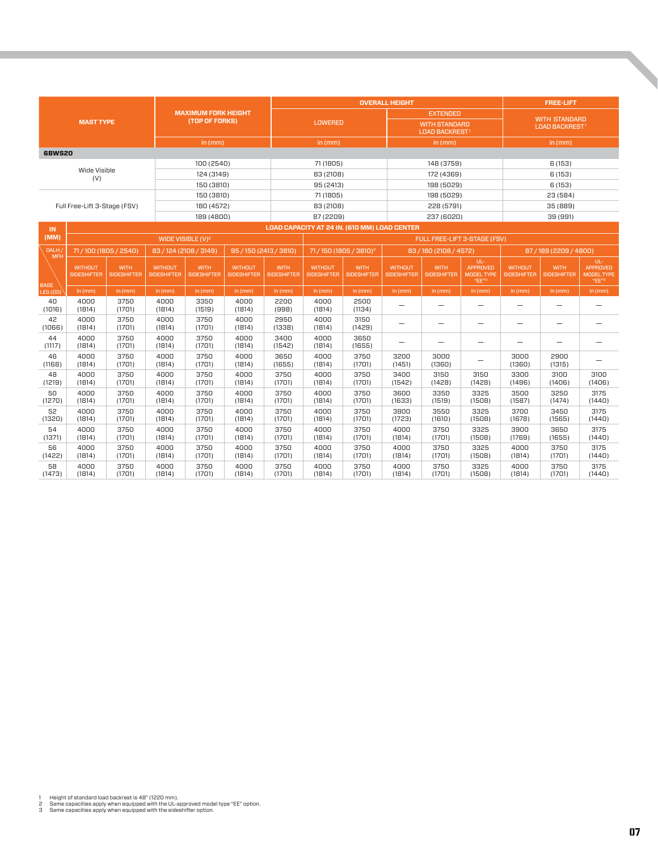| <b>MAST TYPE</b>       |                                      |                                   | <b>MAXIMUM FORK HEIGHT</b><br>(TOP OF FORKS) |                                   |                                      | <b>OVERALL HEIGHT</b>             |                                      |                                              |                                                                       |                                   |                                              | <b>FREE-LIFT</b>                             |                                   |                                                           |  |
|------------------------|--------------------------------------|-----------------------------------|----------------------------------------------|-----------------------------------|--------------------------------------|-----------------------------------|--------------------------------------|----------------------------------------------|-----------------------------------------------------------------------|-----------------------------------|----------------------------------------------|----------------------------------------------|-----------------------------------|-----------------------------------------------------------|--|
|                        |                                      |                                   |                                              |                                   |                                      | <b>LOWERED</b>                    |                                      |                                              | <b>EXTENDED</b><br><b>WITH STANDARD</b><br>LOAD BACKREST <sup>1</sup> |                                   |                                              | <b>WITH STANDARD</b><br><b>LOAD BACKREST</b> |                                   |                                                           |  |
|                        |                                      |                                   |                                              | in (mm)                           |                                      |                                   | in (mm)                              |                                              |                                                                       | in (mm)                           |                                              |                                              | in (mm)                           |                                                           |  |
| <b>6BWS20</b>          |                                      |                                   |                                              |                                   |                                      |                                   |                                      |                                              |                                                                       |                                   |                                              |                                              |                                   |                                                           |  |
| Wide Visible           |                                      |                                   | 100 (2540)                                   |                                   |                                      | 71 (1805)                         |                                      |                                              | 148 (3759)                                                            |                                   |                                              | 6(153)                                       |                                   |                                                           |  |
|                        | (V)                                  |                                   |                                              | 124 (3149)                        |                                      |                                   | 83 (2108)                            |                                              |                                                                       | 172 (4369)                        |                                              |                                              | 6(153)                            |                                                           |  |
|                        |                                      |                                   |                                              | 150 (3810)                        |                                      |                                   | 95 (2413)                            |                                              |                                                                       | 198 (5029)                        |                                              | 6(153)                                       |                                   |                                                           |  |
|                        | Full Free-Lift 3-Stage (FSV)         |                                   |                                              | 150 (3810)<br>180 (4572)          |                                      |                                   | 71 (1805)                            |                                              |                                                                       | 198 (5029)<br>228 (5791)          |                                              |                                              | 23 (584)<br>35 (889)              |                                                           |  |
|                        |                                      |                                   |                                              | 189 (4800)                        |                                      |                                   | 83 (2108)<br>87 (2209)               |                                              |                                                                       | 237 (6020)                        |                                              |                                              | 39 (991)                          |                                                           |  |
|                        |                                      |                                   |                                              |                                   |                                      |                                   |                                      | LOAD CAPACITY AT 24 IN. (610 MM) LOAD CENTER |                                                                       |                                   |                                              |                                              |                                   |                                                           |  |
| IN.<br>(MM)            |                                      |                                   |                                              | WIDE VISIBLE (V) <sup>2</sup>     |                                      |                                   |                                      |                                              |                                                                       | FULL FREE-LIFT 3-STAGE (FSV)      |                                              |                                              |                                   |                                                           |  |
| <b>OALH</b>            | 71/100 (1805 / 2540)                 |                                   | 83 / 124 (2108 / 3149)                       |                                   | 95/150 (2413/3810)                   |                                   |                                      | 71/150 (1805 / 3810) <sup>2</sup>            |                                                                       | 83 / 180 (2108 / 4572)            |                                              | 87/189 (2209/4800)                           |                                   |                                                           |  |
| <b>MFH</b>             | <b>WITHOUT</b><br><b>SIDESHIFTER</b> | <b>WITH</b><br><b>SIDESHIFTER</b> | <b>WITHOUT</b><br><b>SIDESHIFTER</b>         | <b>WITH</b><br><b>SIDESHIFTER</b> | <b>WITHOUT</b><br><b>SIDESHIFTER</b> | <b>WITH</b><br><b>SIDESHIFTER</b> | <b>WITHOUT</b><br><b>SIDESHIFTER</b> | <b>WITH</b><br><b>SIDESHIFTER</b>            | <b>WITHOUT</b><br><b>SIDESHIFTER</b>                                  | <b>WITH</b><br><b>SIDESHIFTER</b> | UL-<br>APPROVED<br><b>MODEL TYPE</b><br>"EE" | <b>WITHOUT</b><br><b>SIDESHIFTER</b>         | <b>WITH</b><br><b>SIDESHIFTER</b> | UL-<br>APPROVED<br><b>MODEL TYPE</b><br>"EE" <sup>3</sup> |  |
| <b>BASE</b><br>LEG (OD | in (mm)                              | in (mm)                           | in (mm)                                      | in (mm)                           | in (mm)                              | in (mm)                           | in (mm)                              | in (mm)                                      | in (mm)                                                               | in (mm)                           | in (mm)                                      | in (mm)                                      | in (mm)                           | in $(mm)$                                                 |  |
| 40<br>(1016)           | 4000<br>(1814)                       | 3750<br>(1701)                    | 4000<br>(1814)                               | 3350<br>(1519)                    | 4000<br>(1814)                       | 2200<br>(998)                     | 4000<br>(1814)                       | 2500<br>(1134)                               |                                                                       | $\overline{\phantom{0}}$          | -                                            | -                                            | $\overline{\phantom{0}}$          |                                                           |  |
| 42<br>(1066)           | 4000<br>(1814)                       | 3750<br>(1701)                    | 4000<br>(1814)                               | 3750<br>(1701)                    | 4000<br>(1814)                       | 2950<br>(1338)                    | 4000<br>(1814)                       | 3150<br>(1429)                               |                                                                       | -                                 | -                                            | -                                            | -                                 |                                                           |  |
| 44<br>(1117)           | 4000<br>(1814)                       | 3750<br>(1701)                    | 4000<br>(1814)                               | 3750<br>(1701)                    | 4000<br>(1814)                       | 3400<br>(1542)                    | 4000<br>(1814)                       | 3650<br>(1655)                               |                                                                       | $\overline{\phantom{0}}$          | -                                            | $\overline{\phantom{0}}$                     | $\overline{\phantom{0}}$          |                                                           |  |
| 46<br>(1168)           | 4000<br>(1814)                       | 3750<br>(1701)                    | 4000<br>(1814)                               | 3750<br>(1701)                    | 4000<br>(1814)                       | 3650<br>(1655)                    | 4000<br>(1814)                       | 3750<br>(1701)                               | 3200<br>(1451)                                                        | 3000<br>(1360)                    | $\overline{\phantom{0}}$                     | 3000<br>(1360)                               | 2900<br>(1315)                    | -                                                         |  |
| 48<br>(1219)           | 4000<br>(1814)                       | 3750<br>(1701)                    | 4000<br>(1814)                               | 3750<br>(1701)                    | 4000<br>(1814)                       | 3750<br>(1701)                    | 4000<br>(1814)                       | 3750<br>(1701)                               | 3400<br>(1542)                                                        | 3150<br>(1428)                    | 3150<br>(1428)                               | 3300<br>(1496)                               | 3100<br>(1406)                    | 3100<br>(1406)                                            |  |
| 50<br>(1270)           | 4000<br>(1814)                       | 3750<br>(1701)                    | 4000<br>(1814)                               | 3750<br>(1701)                    | 4000<br>(1814)                       | 3750<br>(1701)                    | 4000<br>(1814)                       | 3750<br>(1701)                               | 3600<br>(1633)                                                        | 3350<br>(1519)                    | 3325<br>(1508)                               | 3500<br>(1587)                               | 3250<br>(1474)                    | 3175<br>(1440)                                            |  |
| 52<br>(1320)           | 4000<br>(1814)                       | 3750<br>(1701)                    | 4000<br>(1814)                               | 3750<br>(1701)                    | 4000<br>(1814)                       | 3750<br>(1701)                    | 4000<br>(1814)                       | 3750<br>(1701)                               | 3800<br>(1723)                                                        | 3550<br>(1610)                    | 3325<br>(1508)                               | 3700<br>(1678)                               | 3450<br>(1565)                    | 3175<br>(1440)                                            |  |
| 54<br>(1371)           | 4000<br>(1814)                       | 3750<br>(1701)                    | 4000<br>(1814)                               | 3750<br>(1701)                    | 4000<br>(1814)                       | 3750<br>(1701)                    | 4000<br>(1814)                       | 3750<br>(1701)                               | 4000<br>(1814)                                                        | 3750<br>(1701)                    | 3325<br>(1508)                               | 3900<br>(1769)                               | 3650<br>(1655)                    | 3175<br>(1440)                                            |  |
| 56<br>(1422)           | 4000<br>(1814)                       | 3750<br>(1701)                    | 4000<br>(1814)                               | 3750<br>(1701)                    | 4000<br>(1814)                       | 3750<br>(1701)                    | 4000<br>(1814)                       | 3750<br>(1701)                               | 4000<br>(1814)                                                        | 3750<br>(1701)                    | 3325<br>(1508)                               | 4000<br>(1814)                               | 3750<br>(1701)                    | 3175<br>(1440)                                            |  |
| 58<br>(1473)           | 4000<br>(1814)                       | 3750<br>(1701)                    | 4000<br>(1814)                               | 3750<br>(1701)                    | 4000<br>(1814)                       | 3750<br>(1701)                    | 4000<br>(1814)                       | 3750<br>(1701)                               | 4000<br>(1814)                                                        | 3750<br>(1701)                    | 3325<br>(1508)                               | 4000<br>(1814)                               | 3750<br>(1701)                    | 3175<br>(1440)                                            |  |

- 
- 1 Height of standard load backrest is 48" (1220 mm).<br>2 Same capacities apply when equipped with the UL-approved model type "EE" option.<br>3 Same capacities apply when equipped with the sideshifter option.
-